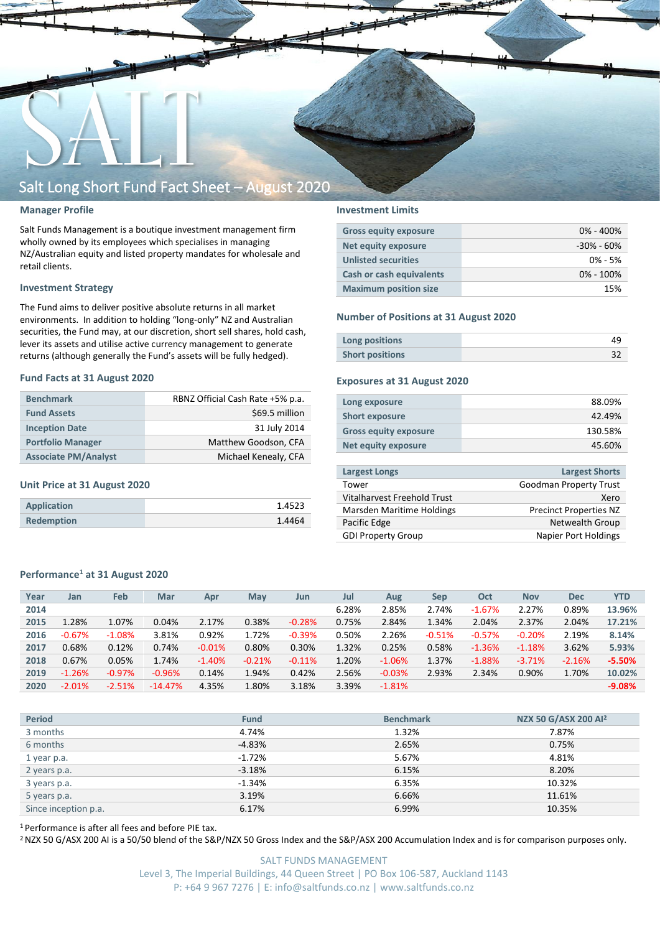

### **Manager Profile**

Salt Funds Management is a boutique investment management firm wholly owned by its employees which specialises in managing NZ/Australian equity and listed property mandates for wholesale and retail clients.

### **Investment Strategy**

The Fund aims to deliver positive absolute returns in all market environments. In addition to holding "long-only" NZ and Australian securities, the Fund may, at our discretion, short sell shares, hold cash, lever its assets and utilise active currency management to generate returns (although generally the Fund's assets will be fully hedged).

#### **Fund Facts at 31 August 2020**

| <b>Benchmark</b>            | RBNZ Official Cash Rate +5% p.a. |
|-----------------------------|----------------------------------|
| <b>Fund Assets</b>          | \$69.5 million                   |
| <b>Inception Date</b>       | 31 July 2014                     |
| <b>Portfolio Manager</b>    | Matthew Goodson, CFA             |
| <b>Associate PM/Analyst</b> | Michael Kenealy, CFA             |

#### **Unit Price at 31 August 2020**

| Application       | 1.4523 |
|-------------------|--------|
| <b>Redemption</b> | 1.4464 |

### **Investment Limits**

| <b>Gross equity exposure</b>    | $0\% - 400\%$  |
|---------------------------------|----------------|
| Net equity exposure             | $-30\% - 60\%$ |
| <b>Unlisted securities</b>      | $0\% - 5\%$    |
| <b>Cash or cash equivalents</b> | $0\% - 100\%$  |
| <b>Maximum position size</b>    | 15%            |

#### **Number of Positions at 31 August 2020**

| Long positions         |  |
|------------------------|--|
| <b>Short positions</b> |  |

### **Exposures at 31 August 2020**

| Long exposure                | 88.09%  |
|------------------------------|---------|
| <b>Short exposure</b>        | 42.49%  |
| <b>Gross equity exposure</b> | 130.58% |
| Net equity exposure          | 45.60%  |
|                              |         |

| <b>Largest Longs</b>        | <b>Largest Shorts</b>         |
|-----------------------------|-------------------------------|
| Tower                       | <b>Goodman Property Trust</b> |
| Vitalharvest Freehold Trust | Xero                          |
| Marsden Maritime Holdings   | <b>Precinct Properties NZ</b> |
| Pacific Edge                | Netwealth Group               |
| <b>GDI Property Group</b>   | Napier Port Holdings          |
|                             |                               |

### **Performance<sup>1</sup> at 31 August 2020**

| Year | Jan      | Feb      | Mar       | Apr      | May      | Jun      | Jul   | Aug      | Sep      | Oct      | <b>Nov</b> | <b>Dec</b> | <b>YTD</b> |
|------|----------|----------|-----------|----------|----------|----------|-------|----------|----------|----------|------------|------------|------------|
| 2014 |          |          |           |          |          |          | 6.28% | 2.85%    | 2.74%    | $-1.67%$ | 2.27%      | 0.89%      | 13.96%     |
| 2015 | 1.28%    | 1.07%    | 0.04%     | 2.17%    | 0.38%    | $-0.28%$ | 0.75% | 2.84%    | 1.34%    | 2.04%    | 2.37%      | 2.04%      | 17.21%     |
| 2016 | $-0.67%$ | $-1.08%$ | 3.81%     | 0.92%    | 1.72%    | $-0.39%$ | 0.50% | 2.26%    | $-0.51%$ | $-0.57%$ | $-0.20%$   | 2.19%      | 8.14%      |
| 2017 | 0.68%    | 0.12%    | 0.74%     | $-0.01%$ | 0.80%    | 0.30%    | 1.32% | 0.25%    | 0.58%    | $-1.36%$ | $-1.18%$   | 3.62%      | 5.93%      |
| 2018 | 0.67%    | 0.05%    | 1.74%     | $-1.40%$ | $-0.21%$ | $-0.11%$ | 1.20% | $-1.06%$ | 1.37%    | $-1.88%$ | $-3.71%$   | $-2.16%$   | $-5.50%$   |
| 2019 | $-1.26%$ | $-0.97%$ | $-0.96%$  | 0.14%    | 1.94%    | 0.42%    | 2.56% | $-0.03%$ | 2.93%    | 2.34%    | 0.90%      | 1.70%      | 10.02%     |
| 2020 | $-2.01%$ | $-2.51%$ | $-14.47%$ | 4.35%    | 1.80%    | 3.18%    | 3.39% | $-1.81%$ |          |          |            |            | $-9.08%$   |
|      |          |          |           |          |          |          |       |          |          |          |            |            |            |

| <b>Period</b>        | <b>Fund</b> | <b>Benchmark</b> | NZX 50 G/ASX 200 Al <sup>2</sup> |
|----------------------|-------------|------------------|----------------------------------|
| 3 months             | 4.74%       | 1.32%            | 7.87%                            |
| 6 months             | $-4.83%$    | 2.65%            | 0.75%                            |
| 1 year p.a.          | $-1.72%$    | 5.67%            | 4.81%                            |
| 2 years p.a.         | $-3.18%$    | 6.15%            | 8.20%                            |
| 3 years p.a.         | $-1.34%$    | 6.35%            | 10.32%                           |
| 5 years p.a.         | 3.19%       | 6.66%            | 11.61%                           |
| Since inception p.a. | 6.17%       | 6.99%            | 10.35%                           |
|                      |             |                  |                                  |

<sup>1</sup> Performance is after all fees and before PIE tax.

<sup>2</sup> NZX 50 G/ASX 200 AI is a 50/50 blend of the S&P/NZX 50 Gross Index and the S&P/ASX 200 Accumulation Index and is for comparison purposes only.

SALT FUNDS MANAGEMENT Level 3, The Imperial Buildings, 44 Queen Street | PO Box 106-587, Auckland 1143 P: +64 9 967 7276 | E: info@saltfunds.co.nz | www.saltfunds.co.nz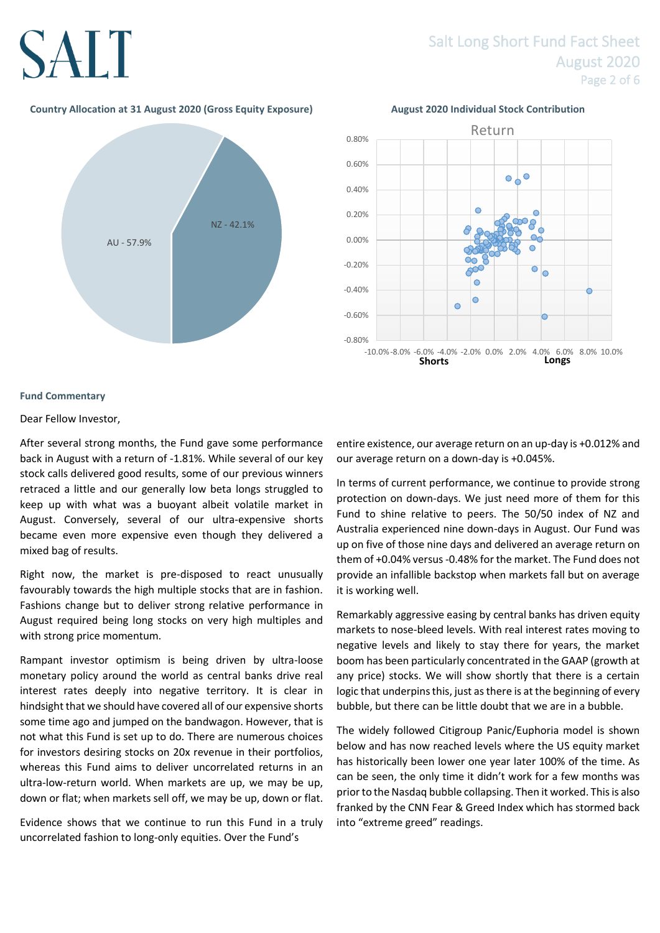## Salt Long Short Fund Fact Sheet August 2020 Page 2 of 6

## **Country Allocation at 31 August 2020 (Gross Equity Exposure) August 2020 Individual Stock Contribution**







## **Fund Commentary**

### Dear Fellow Investor,

After several strong months, the Fund gave some performance back in August with a return of -1.81%. While several of our key stock calls delivered good results, some of our previous winners retraced a little and our generally low beta longs struggled to keep up with what was a buoyant albeit volatile market in August. Conversely, several of our ultra-expensive shorts became even more expensive even though they delivered a mixed bag of results.

Right now, the market is pre-disposed to react unusually favourably towards the high multiple stocks that are in fashion. Fashions change but to deliver strong relative performance in August required being long stocks on very high multiples and with strong price momentum.

Rampant investor optimism is being driven by ultra-loose monetary policy around the world as central banks drive real interest rates deeply into negative territory. It is clear in hindsight that we should have covered all of our expensive shorts some time ago and jumped on the bandwagon. However, that is not what this Fund is set up to do. There are numerous choices for investors desiring stocks on 20x revenue in their portfolios, whereas this Fund aims to deliver uncorrelated returns in an ultra-low-return world. When markets are up, we may be up, down or flat; when markets sell off, we may be up, down or flat.

Evidence shows that we continue to run this Fund in a truly uncorrelated fashion to long-only equities. Over the Fund's

entire existence, our average return on an up-day is +0.012% and our average return on a down-day is +0.045%.

In terms of current performance, we continue to provide strong protection on down-days. We just need more of them for this Fund to shine relative to peers. The 50/50 index of NZ and Australia experienced nine down-days in August. Our Fund was up on five of those nine days and delivered an average return on them of +0.04% versus -0.48% for the market. The Fund does not provide an infallible backstop when markets fall but on average it is working well.

Remarkably aggressive easing by central banks has driven equity markets to nose-bleed levels. With real interest rates moving to negative levels and likely to stay there for years, the market boom has been particularly concentrated in the GAAP (growth at any price) stocks. We will show shortly that there is a certain logic that underpins this, just as there is at the beginning of every bubble, but there can be little doubt that we are in a bubble.

The widely followed Citigroup Panic/Euphoria model is shown below and has now reached levels where the US equity market has historically been lower one year later 100% of the time. As can be seen, the only time it didn't work for a few months was prior to the Nasdaq bubble collapsing. Then it worked. This is also franked by the CNN Fear & Greed Index which has stormed back into "extreme greed" readings.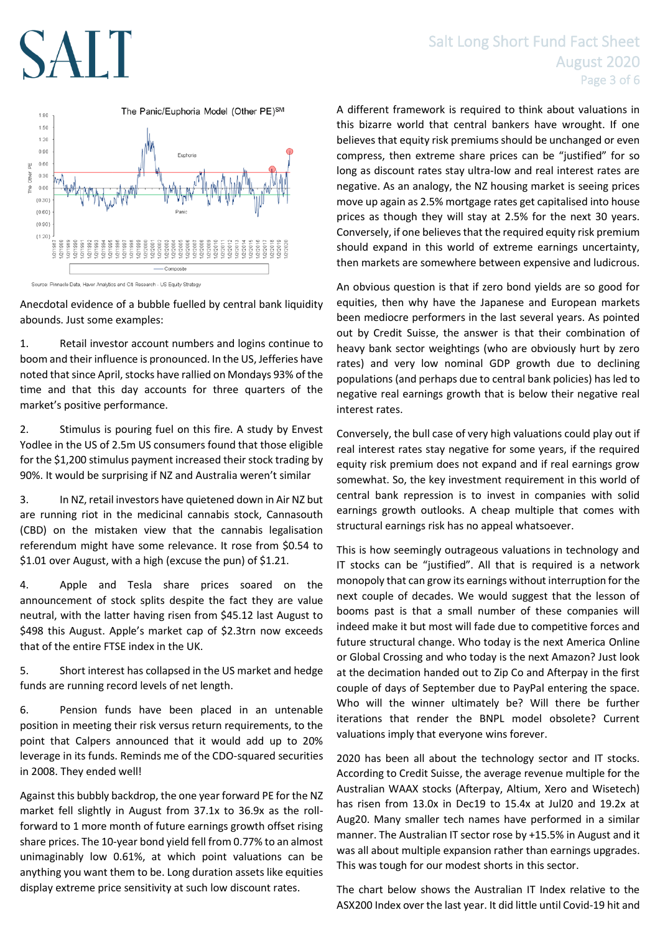

Anecdotal evidence of a bubble fuelled by central bank liquidity abounds. Just some examples:

1. Retail investor account numbers and logins continue to boom and their influence is pronounced. In the US, Jefferies have noted that since April, stocks have rallied on Mondays 93% of the time and that this day accounts for three quarters of the market's positive performance.

2. Stimulus is pouring fuel on this fire. A study by Envest Yodlee in the US of 2.5m US consumers found that those eligible for the \$1,200 stimulus payment increased their stock trading by 90%. It would be surprising if NZ and Australia weren't similar

3. In NZ, retail investors have quietened down in Air NZ but are running riot in the medicinal cannabis stock, Cannasouth (CBD) on the mistaken view that the cannabis legalisation referendum might have some relevance. It rose from \$0.54 to \$1.01 over August, with a high (excuse the pun) of \$1.21.

4. Apple and Tesla share prices soared on the announcement of stock splits despite the fact they are value neutral, with the latter having risen from \$45.12 last August to \$498 this August. Apple's market cap of \$2.3trn now exceeds that of the entire FTSE index in the UK.

5. Short interest has collapsed in the US market and hedge funds are running record levels of net length.

6. Pension funds have been placed in an untenable position in meeting their risk versus return requirements, to the point that Calpers announced that it would add up to 20% leverage in its funds. Reminds me of the CDO-squared securities in 2008. They ended well!

Against this bubbly backdrop, the one year forward PE for the NZ market fell slightly in August from 37.1x to 36.9x as the rollforward to 1 more month of future earnings growth offset rising share prices. The 10-year bond yield fell from 0.77% to an almost unimaginably low 0.61%, at which point valuations can be anything you want them to be. Long duration assets like equities display extreme price sensitivity at such low discount rates.

# Salt Long Short Fund Fact Sheet August 2020 Page 3 of 6

A different framework is required to think about valuations in this bizarre world that central bankers have wrought. If one believes that equity risk premiums should be unchanged or even compress, then extreme share prices can be "justified" for so long as discount rates stay ultra-low and real interest rates are negative. As an analogy, the NZ housing market is seeing prices move up again as 2.5% mortgage rates get capitalised into house prices as though they will stay at 2.5% for the next 30 years. Conversely, if one believes that the required equity risk premium should expand in this world of extreme earnings uncertainty, then markets are somewhere between expensive and ludicrous.

An obvious question is that if zero bond yields are so good for equities, then why have the Japanese and European markets been mediocre performers in the last several years. As pointed out by Credit Suisse, the answer is that their combination of heavy bank sector weightings (who are obviously hurt by zero rates) and very low nominal GDP growth due to declining populations (and perhaps due to central bank policies) has led to negative real earnings growth that is below their negative real interest rates.

Conversely, the bull case of very high valuations could play out if real interest rates stay negative for some years, if the required equity risk premium does not expand and if real earnings grow somewhat. So, the key investment requirement in this world of central bank repression is to invest in companies with solid earnings growth outlooks. A cheap multiple that comes with structural earnings risk has no appeal whatsoever.

This is how seemingly outrageous valuations in technology and IT stocks can be "justified". All that is required is a network monopoly that can grow its earnings without interruption for the next couple of decades. We would suggest that the lesson of booms past is that a small number of these companies will indeed make it but most will fade due to competitive forces and future structural change. Who today is the next America Online or Global Crossing and who today is the next Amazon? Just look at the decimation handed out to Zip Co and Afterpay in the first couple of days of September due to PayPal entering the space. Who will the winner ultimately be? Will there be further iterations that render the BNPL model obsolete? Current valuations imply that everyone wins forever.

2020 has been all about the technology sector and IT stocks. According to Credit Suisse, the average revenue multiple for the Australian WAAX stocks (Afterpay, Altium, Xero and Wisetech) has risen from 13.0x in Dec19 to 15.4x at Jul20 and 19.2x at Aug20. Many smaller tech names have performed in a similar manner. The Australian IT sector rose by +15.5% in August and it was all about multiple expansion rather than earnings upgrades. This was tough for our modest shorts in this sector.

The chart below shows the Australian IT Index relative to the ASX200 Index over the last year. It did little until Covid-19 hit and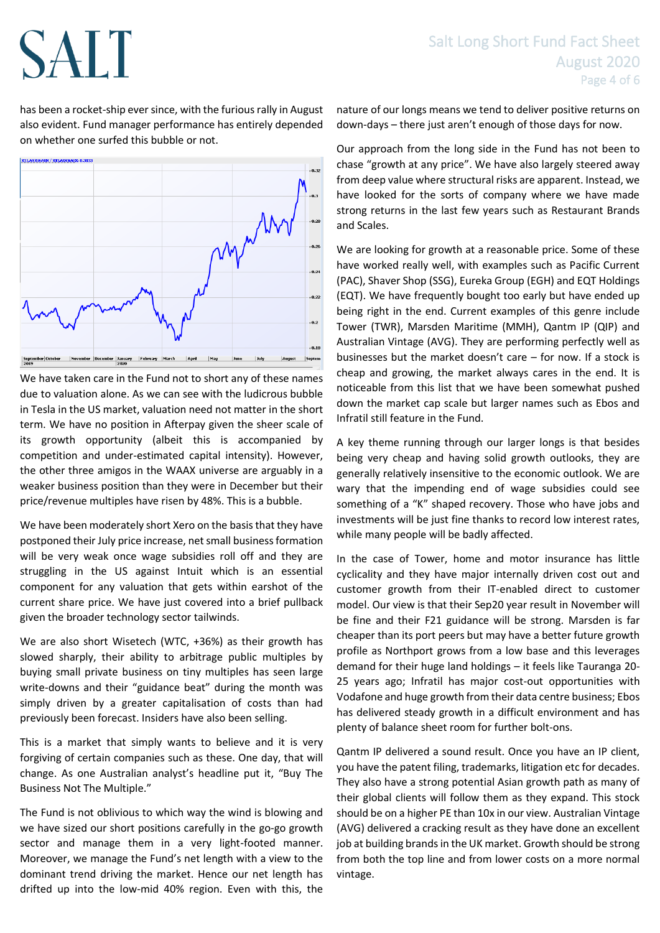has been a rocket-ship ever since, with the furious rally in August also evident. Fund manager performance has entirely depended on whether one surfed this bubble or not.



We have taken care in the Fund not to short any of these names due to valuation alone. As we can see with the ludicrous bubble in Tesla in the US market, valuation need not matter in the short term. We have no position in Afterpay given the sheer scale of its growth opportunity (albeit this is accompanied by competition and under-estimated capital intensity). However, the other three amigos in the WAAX universe are arguably in a weaker business position than they were in December but their price/revenue multiples have risen by 48%. This is a bubble.

We have been moderately short Xero on the basis that they have postponed their July price increase, net small business formation will be very weak once wage subsidies roll off and they are struggling in the US against Intuit which is an essential component for any valuation that gets within earshot of the current share price. We have just covered into a brief pullback given the broader technology sector tailwinds.

We are also short Wisetech (WTC, +36%) as their growth has slowed sharply, their ability to arbitrage public multiples by buying small private business on tiny multiples has seen large write-downs and their "guidance beat" during the month was simply driven by a greater capitalisation of costs than had previously been forecast. Insiders have also been selling.

This is a market that simply wants to believe and it is very forgiving of certain companies such as these. One day, that will change. As one Australian analyst's headline put it, "Buy The Business Not The Multiple."

The Fund is not oblivious to which way the wind is blowing and we have sized our short positions carefully in the go-go growth sector and manage them in a very light-footed manner. Moreover, we manage the Fund's net length with a view to the dominant trend driving the market. Hence our net length has drifted up into the low-mid 40% region. Even with this, the

nature of our longs means we tend to deliver positive returns on down-days – there just aren't enough of those days for now.

Our approach from the long side in the Fund has not been to chase "growth at any price". We have also largely steered away from deep value where structural risks are apparent. Instead, we have looked for the sorts of company where we have made strong returns in the last few years such as Restaurant Brands and Scales.

We are looking for growth at a reasonable price. Some of these have worked really well, with examples such as Pacific Current (PAC), Shaver Shop (SSG), Eureka Group (EGH) and EQT Holdings (EQT). We have frequently bought too early but have ended up being right in the end. Current examples of this genre include Tower (TWR), Marsden Maritime (MMH), Qantm IP (QIP) and Australian Vintage (AVG). They are performing perfectly well as businesses but the market doesn't care – for now. If a stock is cheap and growing, the market always cares in the end. It is noticeable from this list that we have been somewhat pushed down the market cap scale but larger names such as Ebos and Infratil still feature in the Fund.

A key theme running through our larger longs is that besides being very cheap and having solid growth outlooks, they are generally relatively insensitive to the economic outlook. We are wary that the impending end of wage subsidies could see something of a "K" shaped recovery. Those who have jobs and investments will be just fine thanks to record low interest rates, while many people will be badly affected.

In the case of Tower, home and motor insurance has little cyclicality and they have major internally driven cost out and customer growth from their IT-enabled direct to customer model. Our view is that their Sep20 year result in November will be fine and their F21 guidance will be strong. Marsden is far cheaper than its port peers but may have a better future growth profile as Northport grows from a low base and this leverages demand for their huge land holdings – it feels like Tauranga 20- 25 years ago; Infratil has major cost-out opportunities with Vodafone and huge growth from their data centre business; Ebos has delivered steady growth in a difficult environment and has plenty of balance sheet room for further bolt-ons.

Qantm IP delivered a sound result. Once you have an IP client, you have the patent filing, trademarks, litigation etc for decades. They also have a strong potential Asian growth path as many of their global clients will follow them as they expand. This stock should be on a higher PE than 10x in our view. Australian Vintage (AVG) delivered a cracking result as they have done an excellent job at building brands in the UK market. Growth should be strong from both the top line and from lower costs on a more normal vintage.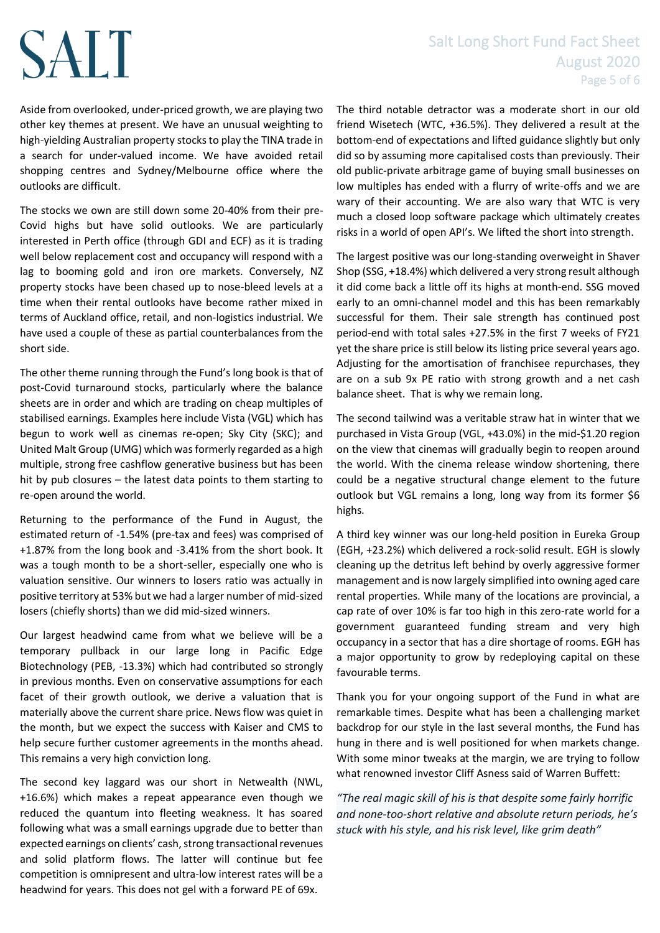# Salt Long Short Fund Fact Sheet August 2020 Page 5 of 6

Aside from overlooked, under-priced growth, we are playing two other key themes at present. We have an unusual weighting to high-yielding Australian property stocks to play the TINA trade in a search for under-valued income. We have avoided retail shopping centres and Sydney/Melbourne office where the outlooks are difficult.

The stocks we own are still down some 20-40% from their pre-Covid highs but have solid outlooks. We are particularly interested in Perth office (through GDI and ECF) as it is trading well below replacement cost and occupancy will respond with a lag to booming gold and iron ore markets. Conversely, NZ property stocks have been chased up to nose-bleed levels at a time when their rental outlooks have become rather mixed in terms of Auckland office, retail, and non-logistics industrial. We have used a couple of these as partial counterbalances from the short side.

The other theme running through the Fund's long book is that of post-Covid turnaround stocks, particularly where the balance sheets are in order and which are trading on cheap multiples of stabilised earnings. Examples here include Vista (VGL) which has begun to work well as cinemas re-open; Sky City (SKC); and United Malt Group (UMG) which was formerly regarded as a high multiple, strong free cashflow generative business but has been hit by pub closures – the latest data points to them starting to re-open around the world.

Returning to the performance of the Fund in August, the estimated return of -1.54% (pre-tax and fees) was comprised of +1.87% from the long book and -3.41% from the short book. It was a tough month to be a short-seller, especially one who is valuation sensitive. Our winners to losers ratio was actually in positive territory at 53% but we had a larger number of mid-sized losers (chiefly shorts) than we did mid-sized winners.

Our largest headwind came from what we believe will be a temporary pullback in our large long in Pacific Edge Biotechnology (PEB, -13.3%) which had contributed so strongly in previous months. Even on conservative assumptions for each facet of their growth outlook, we derive a valuation that is materially above the current share price. News flow was quiet in the month, but we expect the success with Kaiser and CMS to help secure further customer agreements in the months ahead. This remains a very high conviction long.

The second key laggard was our short in Netwealth (NWL, +16.6%) which makes a repeat appearance even though we reduced the quantum into fleeting weakness. It has soared following what was a small earnings upgrade due to better than expected earnings on clients' cash, strong transactional revenues and solid platform flows. The latter will continue but fee competition is omnipresent and ultra-low interest rates will be a headwind for years. This does not gel with a forward PE of 69x.

The third notable detractor was a moderate short in our old friend Wisetech (WTC, +36.5%). They delivered a result at the bottom-end of expectations and lifted guidance slightly but only did so by assuming more capitalised costs than previously. Their old public-private arbitrage game of buying small businesses on low multiples has ended with a flurry of write-offs and we are wary of their accounting. We are also wary that WTC is very much a closed loop software package which ultimately creates risks in a world of open API's. We lifted the short into strength.

The largest positive was our long-standing overweight in Shaver Shop (SSG, +18.4%) which delivered a very strong result although it did come back a little off its highs at month-end. SSG moved early to an omni-channel model and this has been remarkably successful for them. Their sale strength has continued post period-end with total sales +27.5% in the first 7 weeks of FY21 yet the share price is still below its listing price several years ago. Adjusting for the amortisation of franchisee repurchases, they are on a sub 9x PE ratio with strong growth and a net cash balance sheet. That is why we remain long.

The second tailwind was a veritable straw hat in winter that we purchased in Vista Group (VGL, +43.0%) in the mid-\$1.20 region on the view that cinemas will gradually begin to reopen around the world. With the cinema release window shortening, there could be a negative structural change element to the future outlook but VGL remains a long, long way from its former \$6 highs.

A third key winner was our long-held position in Eureka Group (EGH, +23.2%) which delivered a rock-solid result. EGH is slowly cleaning up the detritus left behind by overly aggressive former management and is now largely simplified into owning aged care rental properties. While many of the locations are provincial, a cap rate of over 10% is far too high in this zero-rate world for a government guaranteed funding stream and very high occupancy in a sector that has a dire shortage of rooms. EGH has a major opportunity to grow by redeploying capital on these favourable terms.

Thank you for your ongoing support of the Fund in what are remarkable times. Despite what has been a challenging market backdrop for our style in the last several months, the Fund has hung in there and is well positioned for when markets change. With some minor tweaks at the margin, we are trying to follow what renowned investor Cliff Asness said of Warren Buffett:

*"The real magic skill of his is that despite some fairly horrific and none-too-short relative and absolute return periods, he's stuck with his style, and his risk level, like grim death"*